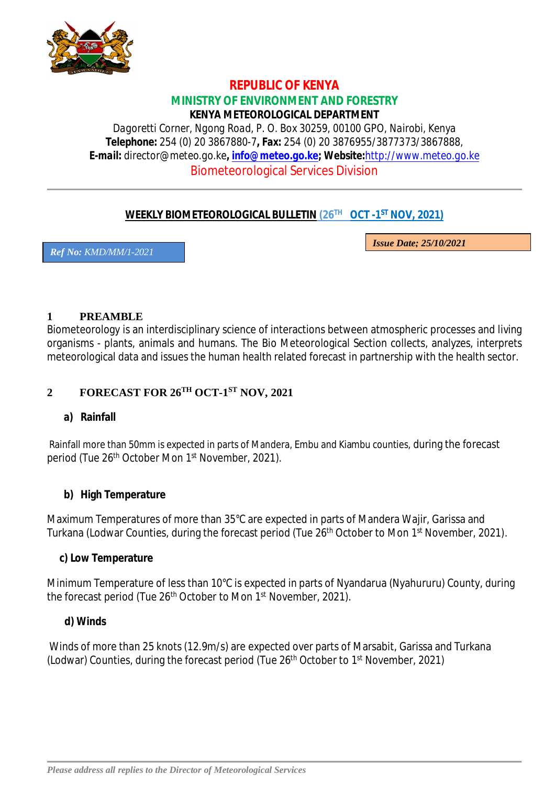

### **REPUBLIC OF KENYA MINISTRY OF ENVIRONMENT AND FORESTRY KENYA METEOROLOGICAL DEPARTMENT**

*Dagoretti Corner, Ngong Road, P. O. Box 30259, 00100 GPO, Nairobi, Kenya Telephone: 254 (0) 20 3867880-7, Fax: 254 (0) 20 3876955/3877373/3867888, E-mail: director@meteo.go.ke, info@meteo.go.ke; Website:http://www.meteo.go.ke* Biometeorological Services Division

# **WEEKLY BIOMETEOROLOGICAL BULLETIN (26TH OCT -1 ST NOV, 2021)**

*Ref No: KMD/MM/1-2021*

*Issue Date; 25/10/2021*

#### **1 PREAMBLE**

Biometeorology is an interdisciplinary science of interactions between atmospheric processes and living organisms - plants, animals and humans. The Bio Meteorological Section collects, analyzes, interprets meteorological data and issues the human health related forecast in partnership with the health sector.

# **2 FORECAST FOR 26TH OCT-1 ST NOV, 2021**

### **a) Rainfall**

Rainfall more than 50mm is expected in parts of Mandera, Embu and Kiambu counties, during the forecast period (Tue 26<sup>th</sup> October Mon 1<sup>st</sup> November, 2021).

### **b) High Temperature**

Maximum Temperatures of more than 35°C are expected in parts of Mandera Wajir, Garissa and Turkana (Lodwar Counties, during the forecast period (Tue 26<sup>th</sup> October to Mon 1<sup>st</sup> November, 2021).

#### **c) Low Temperature**

Minimum Temperature of less than 10°C is expected in parts of Nyandarua (Nyahururu) County, during the forecast period (Tue 26<sup>th</sup> October to Mon 1<sup>st</sup> November, 2021).

### **d) Winds**

Winds of more than 25 knots (12.9m/s) are expected over parts of Marsabit, Garissa and Turkana (Lodwar) Counties, during the forecast period (Tue 26<sup>th</sup> October to 1<sup>st</sup> November, 2021)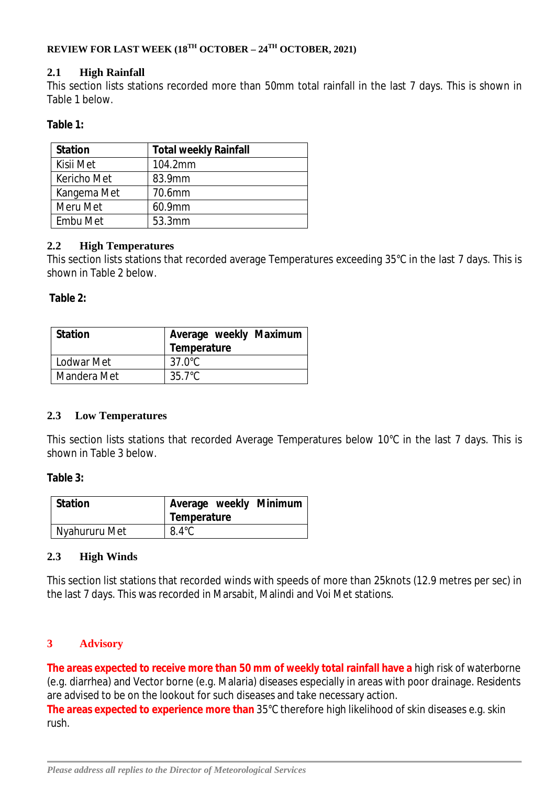### **REVIEW FOR LAST WEEK (18TH OCTOBER – 24TH OCTOBER, 2021)**

#### **2.1 High Rainfall**

This section lists stations recorded more than 50mm total rainfall in the last 7 days. This is shown in Table 1 below.

#### **Table 1:**

| <b>Station</b> | <b>Total weekly Rainfall</b> |
|----------------|------------------------------|
| Kisii Met      | 104.2mm                      |
| Kericho Met    | 83.9mm                       |
| Kangema Met    | 70.6mm                       |
| Meru Met       | 60.9mm                       |
| Embu Met       | 53.3mm                       |

#### **2.2 High Temperatures**

This section lists stations that recorded average Temperatures exceeding 35°C in the last 7 days. This is shown in Table 2 below.

#### **Table 2:**

| Station     | Average weekly Maximum<br>Temperature |
|-------------|---------------------------------------|
| Lodwar Met  | $37.0^{\circ}$ C                      |
| Mandera Met | 35.7°C                                |

### **2.3 Low Temperatures**

This section lists stations that recorded Average Temperatures below 10°C in the last 7 days. This is shown in Table 3 below.

#### **Table 3:**

| Station       | Average weekly Minimum<br>Temperature |  |
|---------------|---------------------------------------|--|
| Nyahururu Met | $8.4^{\circ}$ C                       |  |

#### **2.3 High Winds**

This section list stations that recorded winds with speeds of more than 25knots (12.9 metres per sec) in the last 7 days. This was recorded in Marsabit, Malindi and Voi Met stations.

### **3 Advisory**

**The areas expected to receive more than 50 mm of weekly total rainfall have a** high risk of waterborne (e.g. diarrhea) and Vector borne (e.g. Malaria) diseases especially in areas with poor drainage. Residents are advised to be on the lookout for such diseases and take necessary action.

**The areas expected to experience more than** 35°C therefore high likelihood of skin diseases e.g. skin rush.